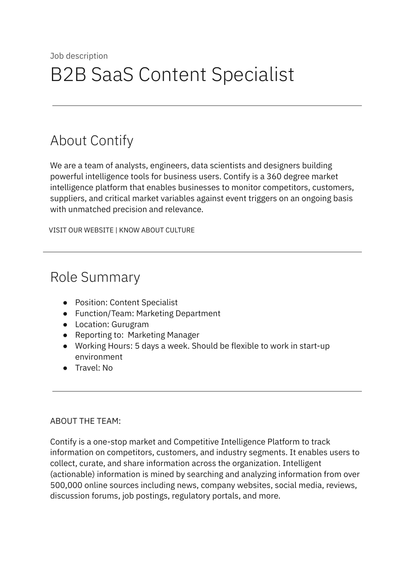# About Contify

We are a team of analysts, engineers, data scientists and designers building powerful intelligence tools for business users. Contify is a 360 degree market intelligence platform that enables businesses to monitor competitors, customers, suppliers, and critical market variables against event triggers on an ongoing basis with unmatched precision and relevance.

VISIT OUR [WEBSITE](http://contify.com/) | KNOW ABOUT [CULTURE](https://app.box.com/s/729fu9kwnix6x7g1ix0u)

## Role Summary

- Position: Content Specialist
- Function/Team: Marketing Department
- Location: Gurugram
- Reporting to: Marketing Manager
- Working Hours: 5 days a week. Should be flexible to work in start-up environment
- Travel: No

#### ABOUT THE TEAM:

Contify is a one-stop market and Competitive Intelligence Platform to track information on competitors, customers, and industry segments. It enables users to collect, curate, and share information across the organization. Intelligent (actionable) information is mined by searching and analyzing information from over 500,000 online sources including news, company websites, social media, reviews, discussion forums, job postings, regulatory portals, and more.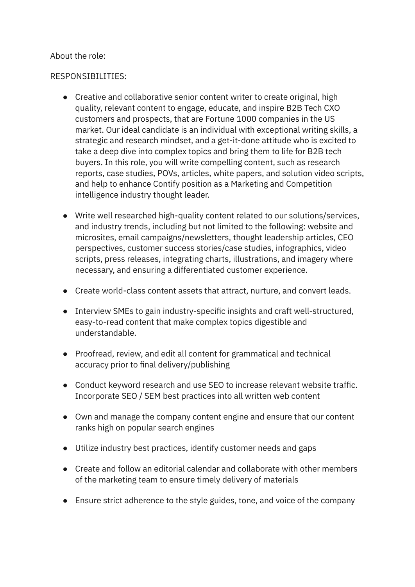#### About the role:

#### RESPONSIBILITIES:

- Creative and collaborative senior content writer to create original, high quality, relevant content to engage, educate, and inspire B2B Tech CXO customers and prospects, that are Fortune 1000 companies in the US market. Our ideal candidate is an individual with exceptional writing skills, a strategic and research mindset, and a get-it-done attitude who is excited to take a deep dive into complex topics and bring them to life for B2B tech buyers. In this role, you will write compelling content, such as research reports, case studies, POVs, articles, white papers, and solution video scripts, and help to enhance Contify position as a Marketing and Competition intelligence industry thought leader.
- Write well researched high-quality content related to our solutions/services, and industry trends, including but not limited to the following: website and microsites, email campaigns/newsletters, thought leadership articles, CEO perspectives, customer success stories/case studies, infographics, video scripts, press releases, integrating charts, illustrations, and imagery where necessary, and ensuring a differentiated customer experience.
- Create world-class content assets that attract, nurture, and convert leads.
- Interview SMEs to gain industry-specific insights and craft well-structured, easy-to-read content that make complex topics digestible and understandable.
- Proofread, review, and edit all content for grammatical and technical accuracy prior to final delivery/publishing
- Conduct keyword research and use SEO to increase relevant website traffic. Incorporate SEO / SEM best practices into all written web content
- Own and manage the company content engine and ensure that our content ranks high on popular search engines
- Utilize industry best practices, identify customer needs and gaps
- Create and follow an editorial calendar and collaborate with other members of the marketing team to ensure timely delivery of materials
- Ensure strict adherence to the style guides, tone, and voice of the company